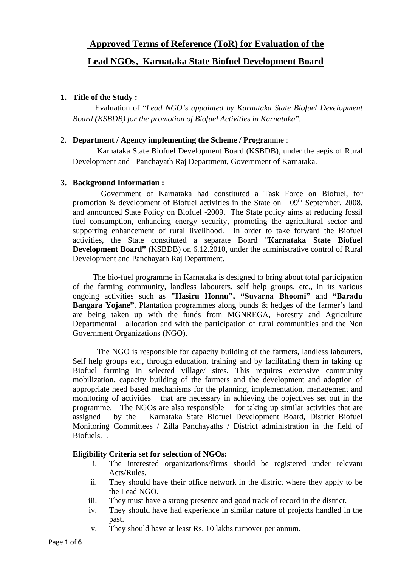# **Approved Terms of Reference (ToR) for Evaluation of the**

## **Lead NGOs, Karnataka State Biofuel Development Board**

## **1. Title of the Study :**

 Evaluation of "*Lead NGO's appointed by Karnataka State Biofuel Development Board (KSBDB) for the promotion of Biofuel Activities in Karnataka*".

## 2. **Department / Agency implementing the Scheme / Progra**mme :

 Karnataka State Biofuel Development Board (KSBDB), under the aegis of Rural Development and Panchayath Raj Department, Government of Karnataka.

## **3. Background Information :**

 Government of Karnataka had constituted a Task Force on Biofuel, for promotion & development of Biofuel activities in the State on  $09<sup>th</sup>$  September, 2008, and announced State Policy on Biofuel -2009. The State policy aims at reducing fossil fuel consumption, enhancing energy security, promoting the agricultural sector and supporting enhancement of rural livelihood. In order to take forward the Biofuel activities, the State constituted a separate Board "**Karnataka State Biofuel Development Board"** (KSBDB) on 6.12.2010, under the administrative control of Rural Development and Panchayath Raj Department.

 The bio-fuel programme in Karnataka is designed to bring about total participation of the farming community, landless labourers, self help groups, etc., in its various ongoing activities such as **"Hasiru Honnu", "Suvarna Bhoomi"** and **"Baradu Bangara Yojane"**. Plantation programmes along bunds & hedges of the farmer's land are being taken up with the funds from MGNREGA, Forestry and Agriculture Departmental allocation and with the participation of rural communities and the Non Government Organizations (NGO).

 The NGO is responsible for capacity building of the farmers, landless labourers, Self help groups etc., through education, training and by facilitating them in taking up Biofuel farming in selected village/ sites. This requires extensive community mobilization, capacity building of the farmers and the development and adoption of appropriate need based mechanisms for the planning, implementation, management and monitoring of activities that are necessary in achieving the objectives set out in the programme. The NGOs are also responsible for taking up similar activities that are assigned by the Karnataka State Biofuel Development Board, District Biofuel Monitoring Committees / Zilla Panchayaths / District administration in the field of Biofuels. .

## **Eligibility Criteria set for selection of NGOs:**

- i. The interested organizations/firms should be registered under relevant Acts/Rules.
- ii. They should have their office network in the district where they apply to be the Lead NGO.
- iii. They must have a strong presence and good track of record in the district.
- iv. They should have had experience in similar nature of projects handled in the past.
- v. They should have at least Rs. 10 lakhs turnover per annum.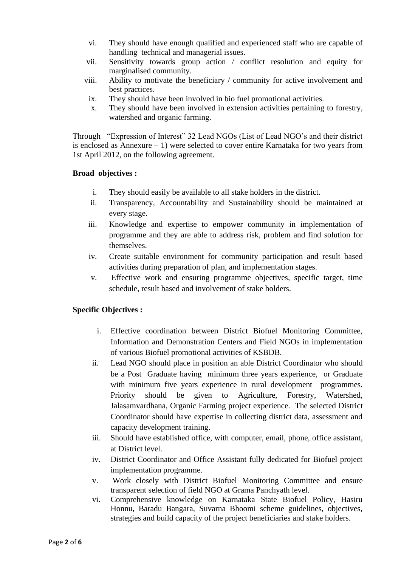- vi. They should have enough qualified and experienced staff who are capable of handling technical and managerial issues.
- vii. Sensitivity towards group action / conflict resolution and equity for marginalised community.
- viii. Ability to motivate the beneficiary / community for active involvement and best practices.
- ix. They should have been involved in bio fuel promotional activities.
- x. They should have been involved in extension activities pertaining to forestry, watershed and organic farming.

Through "Expression of Interest" 32 Lead NGOs (List of Lead NGO's and their district is enclosed as Annexure – 1) were selected to cover entire Karnataka for two years from 1st April 2012, on the following agreement.

## **Broad objectives :**

- i. They should easily be available to all stake holders in the district.
- ii. Transparency, Accountability and Sustainability should be maintained at every stage.
- iii. Knowledge and expertise to empower community in implementation of programme and they are able to address risk, problem and find solution for themselves.
- iv. Create suitable environment for community participation and result based activities during preparation of plan, and implementation stages.
- v. Effective work and ensuring programme objectives, specific target, time schedule, result based and involvement of stake holders.

## **Specific Objectives :**

- i. Effective coordination between District Biofuel Monitoring Committee, Information and Demonstration Centers and Field NGOs in implementation of various Biofuel promotional activities of KSBDB.
- ii. Lead NGO should place in position an able District Coordinator who should be a Post Graduate having minimum three years experience, or Graduate with minimum five years experience in rural development programmes. Priority should be given to Agriculture, Forestry, Watershed, Jalasamvardhana, Organic Farming project experience. The selected District Coordinator should have expertise in collecting district data, assessment and capacity development training.
- iii. Should have established office, with computer, email, phone, office assistant, at District level.
- iv. District Coordinator and Office Assistant fully dedicated for Biofuel project implementation programme.
- v. Work closely with District Biofuel Monitoring Committee and ensure transparent selection of field NGO at Grama Panchyath level.
- vi. Comprehensive knowledge on Karnataka State Biofuel Policy, Hasiru Honnu, Baradu Bangara, Suvarna Bhoomi scheme guidelines, objectives, strategies and build capacity of the project beneficiaries and stake holders.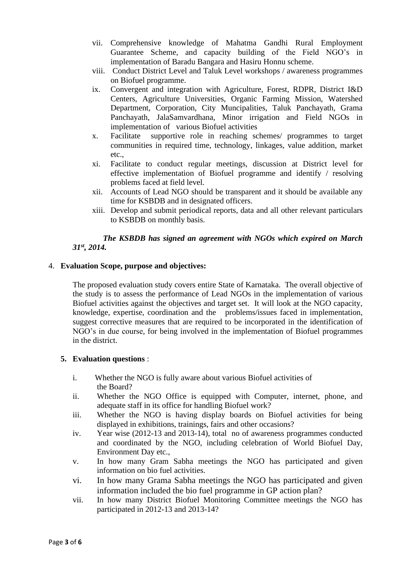- vii. Comprehensive knowledge of Mahatma Gandhi Rural Employment Guarantee Scheme, and capacity building of the Field NGO's in implementation of Baradu Bangara and Hasiru Honnu scheme.
- viii. Conduct District Level and Taluk Level workshops / awareness programmes on Biofuel programme.
- ix. Convergent and integration with Agriculture, Forest, RDPR, District I&D Centers, Agriculture Universities, Organic Farming Mission, Watershed Department, Corporation, City Muncipalities, Taluk Panchayath, Grama Panchayath, JalaSamvardhana, Minor irrigation and Field NGOs in implementation of various Biofuel activities
- x. Facilitate supportive role in reaching schemes/ programmes to target communities in required time, technology, linkages, value addition, market etc.,
- xi. Facilitate to conduct regular meetings, discussion at District level for effective implementation of Biofuel programme and identify / resolving problems faced at field level.
- xii. Accounts of Lead NGO should be transparent and it should be available any time for KSBDB and in designated officers.
- xiii. Develop and submit periodical reports, data and all other relevant particulars to KSBDB on monthly basis.

## *The KSBDB has signed an agreement with NGOs which expired on March 31st , 2014.*

## 4. **Evaluation Scope, purpose and objectives:**

The proposed evaluation study covers entire State of Karnataka. The overall objective of the study is to assess the performance of Lead NGOs in the implementation of various Biofuel activities against the objectives and target set. It will look at the NGO capacity, knowledge, expertise, coordination and the problems/issues faced in implementation, suggest corrective measures that are required to be incorporated in the identification of NGO's in due course, for being involved in the implementation of Biofuel programmes in the district.

## **5. Evaluation questions** :

- i. Whether the NGO is fully aware about various Biofuel activities of the Board?
- ii. Whether the NGO Office is equipped with Computer, internet, phone, and adequate staff in its office for handling Biofuel work?
- iii. Whether the NGO is having display boards on Biofuel activities for being displayed in exhibitions, trainings, fairs and other occasions?
- iv. Year wise (2012-13 and 2013-14), total no of awareness programmes conducted and coordinated by the NGO, including celebration of World Biofuel Day, Environment Day etc.,
- v. In how many Gram Sabha meetings the NGO has participated and given information on bio fuel activities.
- vi. In how many Grama Sabha meetings the NGO has participated and given information included the bio fuel programme in GP action plan?
- vii. In how many District Biofuel Monitoring Committee meetings the NGO has participated in 2012-13 and 2013-14?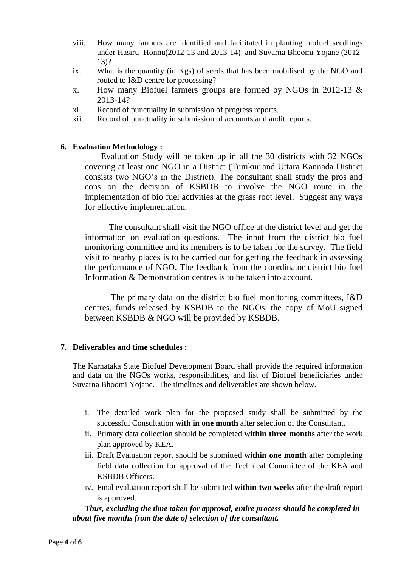- viii. How many farmers are identified and facilitated in planting biofuel seedlings under Hasiru Honnu(2012-13 and 2013-14) and Suvarna Bhoomi Yojane (2012- 13)?
- ix. What is the quantity (in Kgs) of seeds that has been mobilised by the NGO and routed to I&D centre for processing?
- x. How many Biofuel farmers groups are formed by NGOs in 2012-13 & 2013-14?
- xi. Record of punctuality in submission of progress reports.
- xii. Record of punctuality in submission of accounts and audit reports.

#### **6. Evaluation Methodology :**

Evaluation Study will be taken up in all the 30 districts with 32 NGOs covering at least one NGO in a District (Tumkur and Uttara Kannada District consists two NGO's in the District). The consultant shall study the pros and cons on the decision of KSBDB to involve the NGO route in the implementation of bio fuel activities at the grass root level. Suggest any ways for effective implementation.

 The consultant shall visit the NGO office at the district level and get the information on evaluation questions. The input from the district bio fuel monitoring committee and its members is to be taken for the survey. The field visit to nearby places is to be carried out for getting the feedback in assessing the performance of NGO. The feedback from the coordinator district bio fuel Information & Demonstration centres is to be taken into account.

 The primary data on the district bio fuel monitoring committees, I&D centres, funds released by KSBDB to the NGOs, the copy of MoU signed between KSBDB & NGO will be provided by KSBDB.

#### **7. Deliverables and time schedules :**

The Karnataka State Biofuel Development Board shall provide the required information and data on the NGOs works, responsibilities, and list of Biofuel beneficiaries under Suvarna Bhoomi Yojane. The timelines and deliverables are shown below.

- i. The detailed work plan for the proposed study shall be submitted by the successful Consultation **with in one month** after selection of the Consultant.
- ii. Primary data collection should be completed **within three months** after the work plan approved by KEA.
- iii. Draft Evaluation report should be submitted **within one month** after completing field data collection for approval of the Technical Committee of the KEA and KSBDB Officers.
- iv. Final evaluation report shall be submitted **within two weeks** after the draft report is approved.

*Thus, excluding the time taken for approval, entire process should be completed in about five months from the date of selection of the consultant.*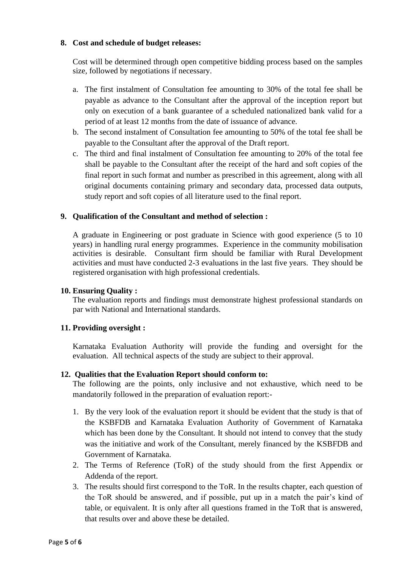#### **8. Cost and schedule of budget releases:**

Cost will be determined through open competitive bidding process based on the samples size, followed by negotiations if necessary.

- a. The first instalment of Consultation fee amounting to 30% of the total fee shall be payable as advance to the Consultant after the approval of the inception report but only on execution of a bank guarantee of a scheduled nationalized bank valid for a period of at least 12 months from the date of issuance of advance.
- b. The second instalment of Consultation fee amounting to 50% of the total fee shall be payable to the Consultant after the approval of the Draft report.
- c. The third and final instalment of Consultation fee amounting to 20% of the total fee shall be payable to the Consultant after the receipt of the hard and soft copies of the final report in such format and number as prescribed in this agreement, along with all original documents containing primary and secondary data, processed data outputs, study report and soft copies of all literature used to the final report.

## **9. Qualification of the Consultant and method of selection :**

A graduate in Engineering or post graduate in Science with good experience (5 to 10 years) in handling rural energy programmes. Experience in the community mobilisation activities is desirable. Consultant firm should be familiar with Rural Development activities and must have conducted 2-3 evaluations in the last five years. They should be registered organisation with high professional credentials.

#### **10. Ensuring Quality :**

The evaluation reports and findings must demonstrate highest professional standards on par with National and International standards.

#### **11. Providing oversight :**

Karnataka Evaluation Authority will provide the funding and oversight for the evaluation. All technical aspects of the study are subject to their approval.

#### **12. Qualities that the Evaluation Report should conform to:**

The following are the points, only inclusive and not exhaustive, which need to be mandatorily followed in the preparation of evaluation report:-

- 1. By the very look of the evaluation report it should be evident that the study is that of the KSBFDB and Karnataka Evaluation Authority of Government of Karnataka which has been done by the Consultant. It should not intend to convey that the study was the initiative and work of the Consultant, merely financed by the KSBFDB and Government of Karnataka.
- 2. The Terms of Reference (ToR) of the study should from the first Appendix or Addenda of the report.
- 3. The results should first correspond to the ToR. In the results chapter, each question of the ToR should be answered, and if possible, put up in a match the pair's kind of table, or equivalent. It is only after all questions framed in the ToR that is answered, that results over and above these be detailed.